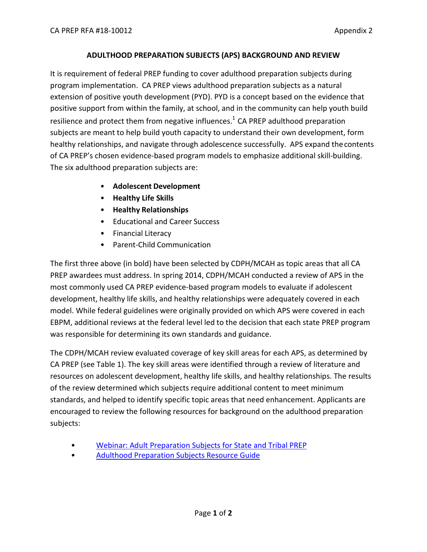## **ADULTHOOD PREPARATION SUBJECTS (APS) BACKGROUND AND REVIEW**

It is requirement of federal PREP funding to cover adulthood preparation subjects during program implementation. CA PREP views adulthood preparation subjects as a natural extension of positive youth development (PYD). PYD is a concept based on the evidence that positive support from within the family, at school, and in the community can help youth build resilience and protect them from negative influences.<sup>1</sup> CA PREP adulthood preparation subjects are meant to help build youth capacity to understand their own development, form healthy relationships, and navigate through adolescence successfully. APS expand thecontents of CA PREP's chosen evidence-based program models to emphasize additional skill-building. The six adulthood preparation subjects are:

- **Adolescent Development**
- **Healthy Life Skills**
- **Healthy Relationships**
- Educational and Career Success
- Financial Literacy
- Parent-Child Communication

The first three above (in bold) have been selected by CDPH/MCAH as topic areas that all CA PREP awardees must address. In spring 2014, CDPH/MCAH conducted a review of APS in the most commonly used CA PREP evidence-based program models to evaluate if adolescent development, healthy life skills, and healthy relationships were adequately covered in each model. While federal guidelines were originally provided on which APS were covered in each EBPM, additional reviews at the federal level led to the decision that each state PREP program was responsible for determining its own standards and guidance.

The CDPH/MCAH review evaluated coverage of key skill areas for each APS, as determined by CA PREP (see Table 1). The key skill areas were identified through a review of literature and resources on adolescent development, healthy life skills, and healthy relationships. The results of the review determined which subjects require additional content to meet minimum standards, and helped to identify specific topic areas that need enhancement. Applicants are encouraged to review the following resources for background on the adulthood preparation subjects:

- [Webinar: Adult Preparation Subjects for State and Tribal PREP](https://www.acf.hhs.gov/fysb/resource/adult-prep-20120725)
- [Adulthood Preparation Subjects Resource Guide](https://www.acf.hhs.gov/fysb/resource/adult-prep-tip-sheet)